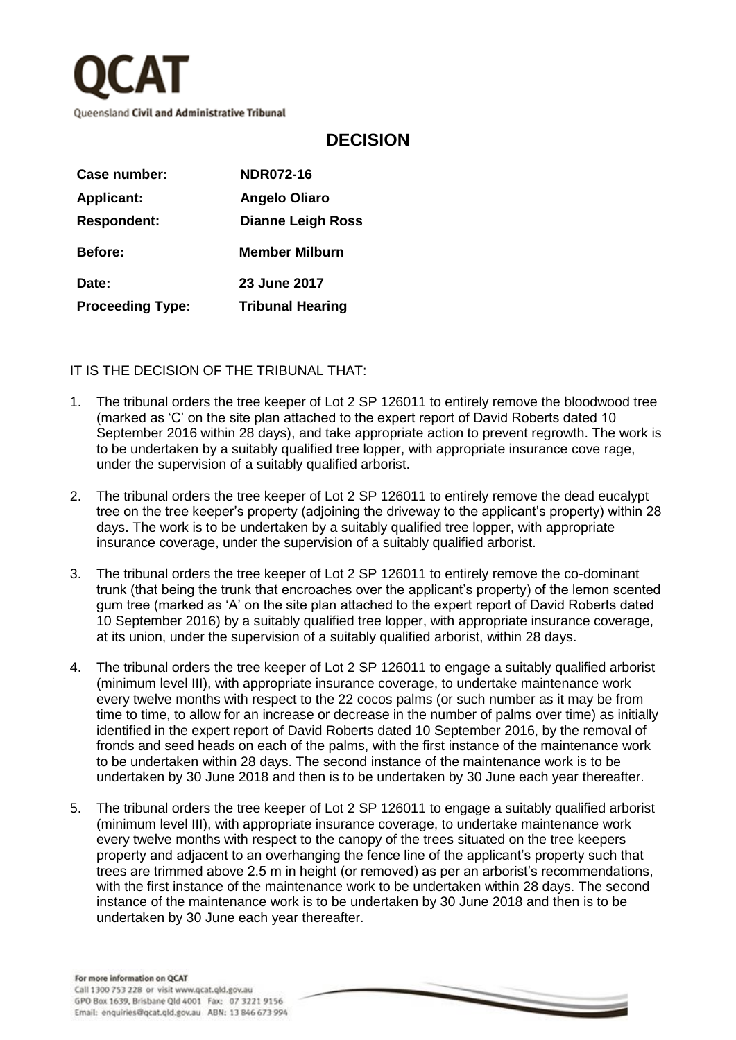

## **DECISION**

| Case number:            | <b>NDR072-16</b>         |
|-------------------------|--------------------------|
| <b>Applicant:</b>       | <b>Angelo Oliaro</b>     |
| <b>Respondent:</b>      | <b>Dianne Leigh Ross</b> |
| <b>Before:</b>          | <b>Member Milburn</b>    |
| Date:                   | 23 June 2017             |
| <b>Proceeding Type:</b> | <b>Tribunal Hearing</b>  |
|                         |                          |

IT IS THE DECISION OF THE TRIBUNAL THAT:

- 1. The tribunal orders the tree keeper of Lot 2 SP 126011 to entirely remove the bloodwood tree (marked as 'C' on the site plan attached to the expert report of David Roberts dated 10 September 2016 within 28 days), and take appropriate action to prevent regrowth. The work is to be undertaken by a suitably qualified tree lopper, with appropriate insurance cove rage, under the supervision of a suitably qualified arborist.
- 2. The tribunal orders the tree keeper of Lot 2 SP 126011 to entirely remove the dead eucalypt tree on the tree keeper's property (adjoining the driveway to the applicant's property) within 28 days. The work is to be undertaken by a suitably qualified tree lopper, with appropriate insurance coverage, under the supervision of a suitably qualified arborist.
- 3. The tribunal orders the tree keeper of Lot 2 SP 126011 to entirely remove the co-dominant trunk (that being the trunk that encroaches over the applicant's property) of the lemon scented gum tree (marked as 'A' on the site plan attached to the expert report of David Roberts dated 10 September 2016) by a suitably qualified tree lopper, with appropriate insurance coverage, at its union, under the supervision of a suitably qualified arborist, within 28 days.
- 4. The tribunal orders the tree keeper of Lot 2 SP 126011 to engage a suitably qualified arborist (minimum level III), with appropriate insurance coverage, to undertake maintenance work every twelve months with respect to the 22 cocos palms (or such number as it may be from time to time, to allow for an increase or decrease in the number of palms over time) as initially identified in the expert report of David Roberts dated 10 September 2016, by the removal of fronds and seed heads on each of the palms, with the first instance of the maintenance work to be undertaken within 28 days. The second instance of the maintenance work is to be undertaken by 30 June 2018 and then is to be undertaken by 30 June each year thereafter.
- 5. The tribunal orders the tree keeper of Lot 2 SP 126011 to engage a suitably qualified arborist (minimum level III), with appropriate insurance coverage, to undertake maintenance work every twelve months with respect to the canopy of the trees situated on the tree keepers property and adjacent to an overhanging the fence line of the applicant's property such that trees are trimmed above 2.5 m in height (or removed) as per an arborist's recommendations, with the first instance of the maintenance work to be undertaken within 28 days. The second instance of the maintenance work is to be undertaken by 30 June 2018 and then is to be undertaken by 30 June each year thereafter.